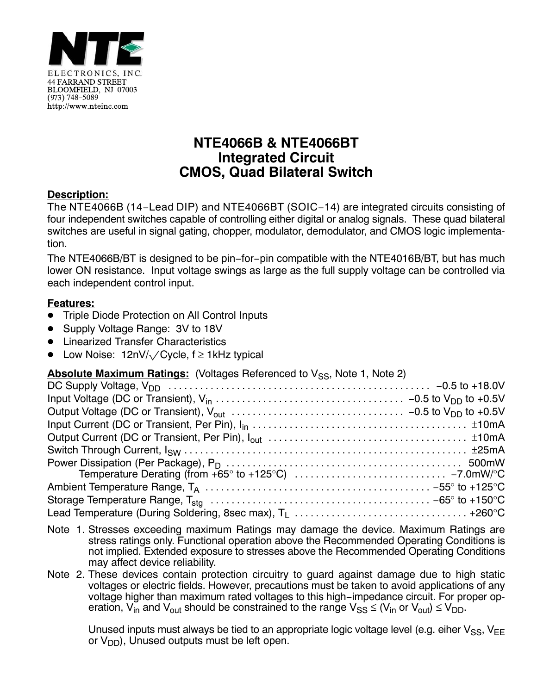

# **NTE4066B & NTE4066BT Integrated Circuit CMOS, Quad Bilateral Switch**

### **Description:**

The NTE4066B (14−Lead DIP) and NTE4066BT (SOIC−14) are integrated circuits consisting of four independent switches capable of controlling either digital or analog signals. These quad bilateral switches are useful in signal gating, chopper, modulator, demodulator, and CMOS logic implementation.

The NTE4066B/BT is designed to be pin−for−pin compatible with the NTE4016B/BT, but has much lower ON resistance. Input voltage swings as large as the full supply voltage can be controlled via each independent control input.

### **Features:**

- -Triple Diode Protection on All Control Inputs
- -Supply Voltage Range: 3V to 18V
- Linearized Transfer Characteristics
- - $\bullet$  Low Noise: 12nV/ $\sqrt{\rm{Cycle}}$ , f  $\geq$  1kHz typical

### **Absolute Maximum Ratings: (Voltages Referenced to Vss. Note 1, Note 2)**

- Note 1. Stresses exceeding maximum Ratings may damage the device. Maximum Ratings are stress ratings only. Functional operation above the Recommended Operating Conditions is not implied. Extended exposure to stresses above the Recommended Operating Conditions may affect device reliability.
- Note 2. These devices contain protection circuitry to guard against damage due to high static voltages or electric fields. However, precautions must be taken to avoid applications of any voltage higher than maximum rated voltages to this high−impedance circuit. For proper operation,  $V_{in}$  and  $V_{out}$  should be constrained to the range  $V_{SS} \leq (V_{in}$  or  $V_{out}) \leq V_{DD}$ .

Unused inputs must always be tied to an appropriate logic voltage level (e.g. eiher  $V_{SS}$ ,  $V_{EE}$ or  $V_{DD}$ ), Unused outputs must be left open.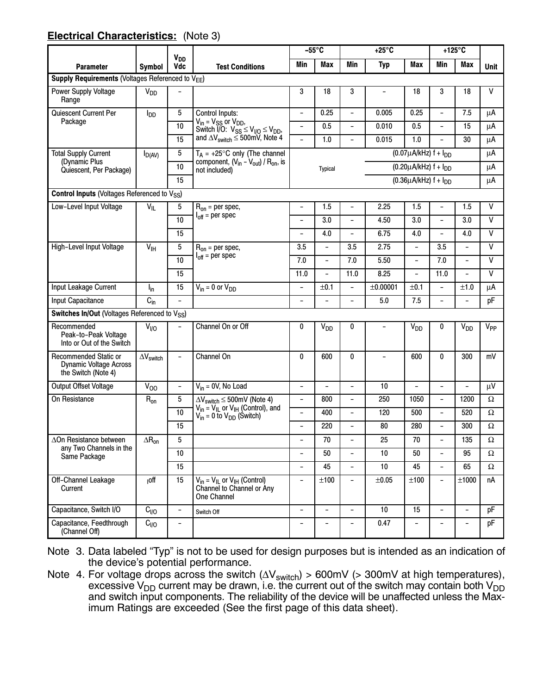### **Electrical Characteristics:** (Note 3)

|                                                                               |                                                                         |                          |                                                                                                               | $-55^{\circ}$ C          |                          |                                 | $+25^{\circ}$ C                 |                          |                          | $+125^{\circ}C$          |                 |
|-------------------------------------------------------------------------------|-------------------------------------------------------------------------|--------------------------|---------------------------------------------------------------------------------------------------------------|--------------------------|--------------------------|---------------------------------|---------------------------------|--------------------------|--------------------------|--------------------------|-----------------|
| <b>Parameter</b>                                                              | <b>V<sub>DD</sub></b><br>Vdc<br><b>Test Conditions</b><br><b>Symbol</b> |                          | Min                                                                                                           | Max                      | Min                      | <b>Typ</b>                      | <b>Max</b>                      | Min                      | <b>Max</b>               | <b>Unit</b>              |                 |
| Supply Requirements (Voltages Referenced to $V_{FF}$ )                        |                                                                         |                          |                                                                                                               |                          |                          |                                 |                                 |                          |                          |                          |                 |
| Power Supply Voltage<br>Range                                                 | $V_{DD}$                                                                |                          |                                                                                                               | 3                        | 18                       | 3                               | $\overline{\phantom{0}}$        | 18                       | 3                        | 18                       | $\mathsf{V}$    |
| Quiescent Current Per<br>5<br>$I_{DD}$                                        |                                                                         | Control Inputs:          | $\overline{\phantom{a}}$                                                                                      | 0.25                     | $\overline{a}$           | 0.005                           | 0.25                            | $\overline{\phantom{a}}$ | 7.5                      | μA                       |                 |
| Package                                                                       |                                                                         | 10                       | $V_{in}$ = $V_{SS}$ or $V_{DD}$ ,<br>Switch $\overline{1}/\overline{0}$ : $V_{SS} \leq V_{1/0} \leq V_{DD}$ , | $\overline{\phantom{0}}$ | 0.5                      | $\overline{\phantom{0}}$        | 0.010                           | 0.5                      | $\overline{\phantom{a}}$ | 15                       | μA              |
|                                                                               |                                                                         | 15                       | and $\Delta V_{switch} \leq 500$ mV, Note 4                                                                   | $\overline{\phantom{0}}$ | 1.0                      | $\overline{a}$                  | 0.015                           | 1.0                      |                          | 30                       | μA              |
| <b>Total Supply Current</b>                                                   | $I_{D(AV)}$                                                             | 5                        | $T_A = +25^{\circ}C$ only (The channel                                                                        |                          |                          |                                 | $(0.07 \mu A/kHz)$ f + $I_{DD}$ |                          |                          |                          | μA              |
| (Dynamic Plus<br>Quiescent, Per Package)                                      |                                                                         | 10                       | component, $(V_{in} - V_{out}) / R_{on}$ , is<br>not included)                                                | <b>Typical</b>           |                          | $(0.20 \mu A/kHz)$ f + $I_{DD}$ |                                 |                          |                          | μA                       |                 |
|                                                                               |                                                                         | 15                       |                                                                                                               |                          |                          |                                 | $(0.36\mu A/kHz)$ f + $I_{DD}$  |                          |                          |                          | μA              |
| <b>Control Inputs (Voltages Referenced to Vss)</b>                            |                                                                         |                          |                                                                                                               |                          |                          |                                 |                                 |                          |                          |                          |                 |
| Low-Level Input Voltage                                                       | $V_{IL}$                                                                | 5                        | $R_{on}$ = per spec,                                                                                          | $\overline{a}$           | 1.5                      | $\overline{a}$                  | 2.25                            | 1.5                      | $\overline{\phantom{a}}$ | 1.5                      | $\mathsf{V}$    |
|                                                                               |                                                                         | 10                       | $I_{off}$ = per spec                                                                                          | $\overline{\phantom{0}}$ | 3.0                      | $\overline{\phantom{0}}$        | 4.50                            | 3.0                      | $\overline{\phantom{a}}$ | 3.0                      | V               |
|                                                                               |                                                                         | 15                       |                                                                                                               | $\overline{\phantom{0}}$ | 4.0                      | $\overline{a}$                  | 6.75                            | 4.0                      |                          | 4.0                      | $\mathsf{V}$    |
| High-Level Input Voltage                                                      | $V_{\text{IH}}$                                                         | 5                        | $R_{on}$ = per spec,                                                                                          | 3.5                      | $\overline{\phantom{a}}$ | 3.5                             | 2.75                            | $\overline{a}$           | 3.5                      | $\overline{\phantom{a}}$ | V               |
|                                                                               |                                                                         | 10                       | $I_{off}$ = per spec                                                                                          | 7.0                      | $\overline{\phantom{a}}$ | 7.0                             | 5.50                            | $\overline{a}$           | 7.0                      | $\overline{a}$           | $\mathsf{V}$    |
|                                                                               |                                                                         | 15                       |                                                                                                               | 11.0                     | $\overline{\phantom{a}}$ | 11.0                            | 8.25                            | $\overline{a}$           | 11.0                     | $\overline{\phantom{0}}$ | $\mathsf{V}$    |
| Input Leakage Current                                                         | $I_{in}$                                                                | 15                       | $V_{in} = 0$ or $V_{DD}$                                                                                      | $\overline{\phantom{0}}$ | ±0.1                     | $\overline{\phantom{0}}$        | ±0.00001                        | ±0.1                     | $\overline{\phantom{a}}$ | ±1.0                     | μA              |
| Input Capacitance                                                             | $C_{in}$                                                                |                          |                                                                                                               | $\overline{\phantom{0}}$ |                          | $\overline{\phantom{0}}$        | 5.0                             | 7.5                      |                          |                          | pF              |
| Switches In/Out (Voltages Referenced to V <sub>SS</sub> )                     |                                                                         |                          |                                                                                                               |                          |                          |                                 |                                 |                          |                          |                          |                 |
| Recommended<br>Peak-to-Peak Voltage<br>Into or Out of the Switch              | V <sub>I/O</sub>                                                        |                          | Channel On or Off                                                                                             | 0                        | V <sub>DD</sub>          | 0                               |                                 | <b>V<sub>DD</sub></b>    | 0                        | V <sub>DD</sub>          | V <sub>PP</sub> |
| Recommended Static or<br><b>Dynamic Voltage Across</b><br>the Switch (Note 4) | $\Delta\rm{V}_{switch}$                                                 | $\overline{\phantom{0}}$ | Channel On                                                                                                    | $\mathbf{0}$             | 600                      | 0                               | $\overline{\phantom{0}}$        | 600                      | 0                        | 300                      | mV              |
| Output Offset Voltage                                                         | $\overline{V}_{00}$                                                     |                          | $V_{in} = 0V$ , No Load                                                                                       | $\overline{\phantom{0}}$ |                          | $\overline{\phantom{0}}$        | 10                              | $\overline{a}$           | $\overline{a}$           |                          | μV              |
| On Resistance                                                                 | $R_{on}$                                                                | 5                        | $\Delta V_{switch} \leq 500$ mV (Note 4)                                                                      | $\overline{\phantom{a}}$ | 800                      | $\overline{\phantom{0}}$        | 250                             | 1050                     | $\overline{\phantom{a}}$ | 1200                     | Ω               |
|                                                                               |                                                                         | 10                       | $V_{in} = V_{IL}$ or $V_{IH}$ (Control), and<br>$V_{in} = 0$ to $V_{DD}$ (Switch)                             |                          | 400                      | $\overline{\phantom{0}}$        | 120                             | 500                      |                          | 520                      | $\Omega$        |
|                                                                               |                                                                         | 15                       |                                                                                                               | -                        | 220                      | -                               | 80                              | 280                      |                          | 300                      | $\Omega$        |
| ∆On Resistance between                                                        | $\Delta R_{on}$                                                         | 5                        |                                                                                                               |                          | 70                       | $\overline{\phantom{0}}$        | 25                              | 70                       |                          | 135                      | Ω               |
| any Two Channels in the<br>Same Package                                       |                                                                         | 10                       |                                                                                                               | -                        | 50                       | $\overline{\phantom{0}}$        | $10$                            | 50                       | $\overline{\phantom{a}}$ | 95                       | $\Omega$        |
|                                                                               |                                                                         | 15                       |                                                                                                               | $\overline{\phantom{0}}$ | 45                       | $\overline{\phantom{0}}$        | 10                              | 45                       | $\overline{\phantom{a}}$ | 65                       | Ω               |
| Off-Channel Leakage<br>Current                                                | <sub>I</sub> off                                                        | 15                       | $V_{in} = V_{IL}$ or $V_{IH}$ (Control)<br>Channel to Channel or Any<br>One Channel                           | $\overline{\phantom{a}}$ | $\pm 100$                | $\overline{\phantom{a}}$        | ±0.05                           | ±100                     | $\overline{\phantom{a}}$ | $\pm 1000$               | nA              |
| Capacitance, Switch I/O                                                       | C <sub>I/O</sub>                                                        | $\overline{\phantom{0}}$ | Switch Off                                                                                                    | $\overline{\phantom{a}}$ | $\overline{\phantom{a}}$ | $\overline{\phantom{m}}$        | $10$                            | 15                       | $\overline{\phantom{a}}$ | $\overline{\phantom{a}}$ | рF              |
| Capacitance, Feedthrough<br>(Channel Off)                                     | $C_{\parallel 0}$                                                       |                          |                                                                                                               |                          |                          |                                 | 0.47                            |                          |                          |                          | pF              |

Note 3. Data labeled "Typ" is not to be used for design purposes but is intended as an indication of the device's potential performance.

Note 4. For voltage drops across the switch ( $\Delta\rm{V_{switch}}$ ) > 600mV (> 300mV at high temperatures), excessive V<sub>DD</sub> current may be drawn, i.e. the current out of the switch may contain both V<sub>DD</sub> and switch input components. The reliability of the device will be unaffected unless the Maximum Ratings are exceeded (See the first page of this data sheet).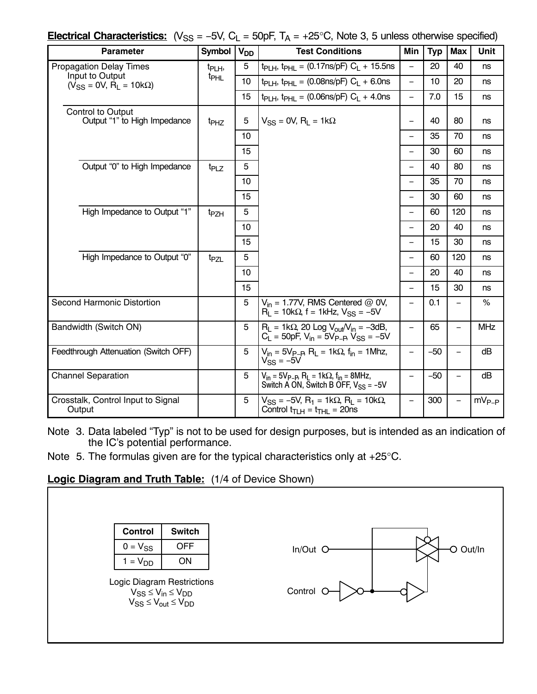| <b>Electrical Characteristics:</b> $(V_{SS} = -5V, C_L = 50pF, T_A = +25°C, Note 3, 5 unless otherwise specified)$ |  |
|--------------------------------------------------------------------------------------------------------------------|--|
|--------------------------------------------------------------------------------------------------------------------|--|

| <b>Parameter</b>                                          | <b>Symbol</b>      | V <sub>DD</sub> | <b>Test Conditions</b>                                                                                                         | Min                      | <b>Typ</b> | <b>Max</b>               | Unit       |
|-----------------------------------------------------------|--------------------|-----------------|--------------------------------------------------------------------------------------------------------------------------------|--------------------------|------------|--------------------------|------------|
| <b>Propagation Delay Times</b>                            | t <sub>PLH</sub> , | $\overline{5}$  | $t_{PLH}$ , $t_{PHL}$ = (0.17ns/pF) $C_L$ + 15.5ns                                                                             | $\overline{\phantom{0}}$ | 20         | 40                       | ns         |
| Input to Output<br>$(\dot{V}_{SS} = 0V, R_L = 10k\Omega)$ | t <sub>PHL</sub>   | 10              | $t_{PLH}$ , $t_{PHL}$ = (0.08ns/pF) $C_L$ + 6.0ns                                                                              | $\equiv$                 | 10         | 20                       | ns         |
|                                                           |                    | 15              | $t_{PLH}$ , $t_{PHL}$ = (0.06ns/pF) $C_L$ + 4.0ns                                                                              | $\overline{\phantom{0}}$ | 7.0        | 15                       | ns         |
| Control to Output<br>Output "1" to High Impedance         | t <sub>PHZ</sub>   | 5               | $V_{SS}$ = 0V, R <sub>I</sub> = 1k $\Omega$                                                                                    | —                        | 40         | 80                       | ns         |
|                                                           |                    | 10              |                                                                                                                                |                          | 35         | 70                       | ns         |
|                                                           |                    | 15              |                                                                                                                                | $\overline{\phantom{0}}$ | 30         | 60                       | ns         |
| Output "0" to High Impedance                              | t <sub>PLZ</sub>   | $\overline{5}$  |                                                                                                                                |                          | 40         | 80                       | ns         |
|                                                           |                    | 10              |                                                                                                                                |                          | 35         | 70                       | ns         |
|                                                           |                    | 15              |                                                                                                                                | $\overline{\phantom{0}}$ | 30         | 60                       | ns         |
| High Impedance to Output "1"                              | <sup>t</sup> PZH   | 5               |                                                                                                                                |                          | 60         | 120                      | ns         |
|                                                           |                    | 10              |                                                                                                                                | $\overline{\phantom{0}}$ | 20         | 40                       | ns         |
|                                                           |                    | 15              |                                                                                                                                |                          | 15         | 30                       | ns         |
| High Impedance to Output "0"                              | t <sub>PZL</sub>   | 5               |                                                                                                                                |                          | 60         | 120                      | ns         |
|                                                           |                    | 10              |                                                                                                                                | $\overline{\phantom{0}}$ | 20         | 40                       | ns         |
|                                                           |                    | 15              |                                                                                                                                |                          | 15         | 30                       | ns         |
| Second Harmonic Distortion                                |                    | 5               | $V_{in}$ = 1.77V, RMS Centered @ 0V,<br>$R_1 = 10k\Omega$ , f = 1kHz, $V_{SS} = -5V$                                           | $\overline{\phantom{0}}$ | 0.1        |                          | %          |
| Bandwidth (Switch ON)                                     |                    | 5               | $R_L = 1k\Omega$ , 20 Log V <sub>out</sub> /V <sub>in</sub> = -3dB,<br>$C_{L}$ = 50pF, $V_{in}$ = 5 $V_{P-B}$ , $V_{SS}$ = -5V | $\qquad \qquad -$        | 65         | $\overline{\phantom{0}}$ | <b>MHz</b> |
| Feedthrough Attenuation (Switch OFF)                      |                    | 5               | $V_{in} = 5V_{P-B}$ , R <sub>L</sub> = 1k $\Omega$ , f <sub>in</sub> = 1Mhz,<br>$V_{SS} = -5V$                                 | $\overline{\phantom{0}}$ | $-50$      | $\overline{\phantom{0}}$ | dB         |
| <b>Channel Separation</b>                                 |                    | 5               | $V_{in} = 5V_{P-P}$ , $R_L = 1k\Omega$ , $f_{in} = 8MHz$ ,<br>Switch A ON, Switch B OFF, $V_{SS} = -5V$                        | $\overline{\phantom{0}}$ | $-50$      |                          | dB         |
| Crosstalk, Control Input to Signal<br>Output              |                    | 5               | $V_{SS}$ = -5V, R <sub>1</sub> = 1kΩ, R <sub>L</sub> = 10kΩ,<br>Control $t_{TLH} = t_{THL} = 20$ ns                            | $\overline{\phantom{0}}$ | 300        |                          | $mV_{P-P}$ |

Note 3. Data labeled "Typ" is not to be used for design purposes, but is intended as an indication of the IC's potential performance.

Note 5. The formulas given are for the typical characteristics only at +25°C.

# **Logic Diagram and Truth Table:** (1/4 of Device Shown)